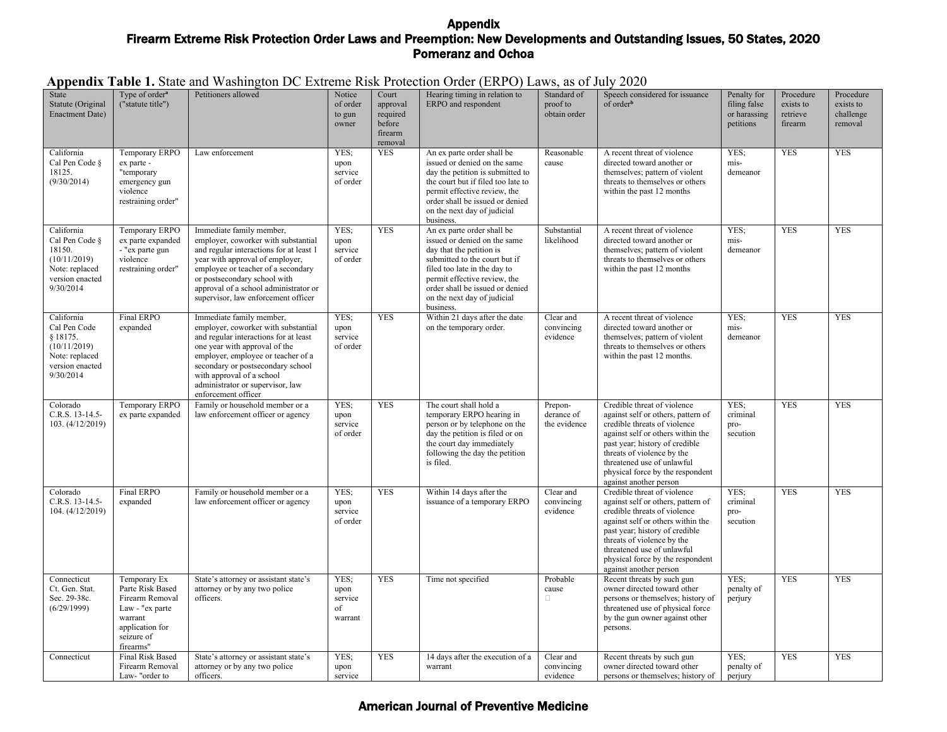|  |  | Appendix Table 1. State and Washington DC Extreme Risk Protection Order (ERPO) Laws, as of July 2020 |  |  |  |
|--|--|------------------------------------------------------------------------------------------------------|--|--|--|
|--|--|------------------------------------------------------------------------------------------------------|--|--|--|

| State<br>Statute (Original<br><b>Enactment Date)</b>                                                     | Type of order <sup>a</sup><br>("statute title")                                                                                 | Petitioners allowed                                                                                                                                                                                                                                                                                          | Notice<br>of order<br>to gun<br>owner    | Court<br>approval<br>required<br>before<br>firearm | Hearing timing in relation to<br>ERPO and respondent                                                                                                                                                                                                                   | Standard of<br>proof to<br>obtain order | Speech considered for issuance<br>of order <sup>b</sup>                                                                                                                                                                                                                                            | Penalty for<br>filing false<br>or harassing<br>petitions | Procedure<br>exists to<br>retrieve<br>firearm | Procedure<br>exists to<br>challenge<br>removal |
|----------------------------------------------------------------------------------------------------------|---------------------------------------------------------------------------------------------------------------------------------|--------------------------------------------------------------------------------------------------------------------------------------------------------------------------------------------------------------------------------------------------------------------------------------------------------------|------------------------------------------|----------------------------------------------------|------------------------------------------------------------------------------------------------------------------------------------------------------------------------------------------------------------------------------------------------------------------------|-----------------------------------------|----------------------------------------------------------------------------------------------------------------------------------------------------------------------------------------------------------------------------------------------------------------------------------------------------|----------------------------------------------------------|-----------------------------------------------|------------------------------------------------|
| California<br>Cal Pen Code §<br>18125.<br>(9/30/2014)                                                    | Temporary ERPO<br>ex parte -<br>"temporary<br>emergency gun<br>violence<br>restraining order"                                   | Law enforcement                                                                                                                                                                                                                                                                                              | YES;<br>upon<br>service<br>of order      | removal<br><b>YES</b>                              | An ex parte order shall be<br>issued or denied on the same<br>day the petition is submitted to<br>the court but if filed too late to<br>permit effective review, the<br>order shall be issued or denied<br>on the next day of judicial<br>business.                    | Reasonable<br>cause                     | A recent threat of violence<br>directed toward another or<br>themselves; pattern of violent<br>threats to themselves or others<br>within the past 12 months                                                                                                                                        | YES;<br>mis-<br>demeanor                                 | <b>YES</b>                                    | <b>YES</b>                                     |
| California<br>Cal Pen Code §<br>18150.<br>(10/11/2019)<br>Note: replaced<br>version enacted<br>9/30/2014 | Temporary ERPO<br>ex parte expanded<br>- "ex parte gun<br>violence<br>restraining order"                                        | Immediate family member,<br>employer, coworker with substantial<br>and regular interactions for at least 1<br>year with approval of employer,<br>employee or teacher of a secondary<br>or postsecondary school with<br>approval of a school administrator or<br>supervisor, law enforcement officer          | YES:<br>upon<br>service<br>of order      | <b>YES</b>                                         | An ex parte order shall be<br>issued or denied on the same<br>day that the petition is<br>submitted to the court but if<br>filed too late in the day to<br>permit effective review, the<br>order shall be issued or denied<br>on the next day of judicial<br>business. | Substantial<br>likelihood               | A recent threat of violence<br>directed toward another or<br>themselves; pattern of violent<br>threats to themselves or others<br>within the past 12 months                                                                                                                                        | YES:<br>mis-<br>demeanor                                 | <b>YES</b>                                    | <b>YES</b>                                     |
| California<br>Cal Pen Code<br>§ 18175.<br>(10/11/2019)<br>Note: replaced<br>version enacted<br>9/30/2014 | Final ERPO<br>expanded                                                                                                          | Immediate family member,<br>employer, coworker with substantial<br>and regular interactions for at least<br>one year with approval of the<br>employer, employee or teacher of a<br>secondary or postsecondary school<br>with approval of a school<br>administrator or supervisor, law<br>enforcement officer | YES;<br>upon<br>service<br>of order      | <b>YES</b>                                         | Within 21 days after the date<br>on the temporary order.                                                                                                                                                                                                               | Clear and<br>convincing<br>evidence     | A recent threat of violence<br>directed toward another or<br>themselves; pattern of violent<br>threats to themselves or others<br>within the past 12 months.                                                                                                                                       | YES:<br>mis-<br>demeanor                                 | <b>YES</b>                                    | <b>YES</b>                                     |
| Colorado<br>C.R.S. 13-14.5-<br>103. (4/12/2019)                                                          | Temporary ERPO<br>ex parte expanded                                                                                             | Family or household member or a<br>law enforcement officer or agency                                                                                                                                                                                                                                         | YES:<br>upon<br>service<br>of order      | <b>YES</b>                                         | The court shall hold a<br>temporary ERPO hearing in<br>person or by telephone on the<br>day the petition is filed or on<br>the court day immediately<br>following the day the petition<br>is filed.                                                                    | Prepon-<br>derance of<br>the evidence   | Credible threat of violence<br>against self or others, pattern of<br>credible threats of violence<br>against self or others within the<br>past year; history of credible<br>threats of violence by the<br>threatened use of unlawful<br>physical force by the respondent<br>against another person | YES:<br>criminal<br>pro-<br>secution                     | <b>YES</b>                                    | <b>YES</b>                                     |
| Colorado<br>C.R.S. 13-14.5-<br>104. (4/12/2019)                                                          | Final ERPO<br>expanded                                                                                                          | Family or household member or a<br>law enforcement officer or agency                                                                                                                                                                                                                                         | YES;<br>upon<br>service<br>of order      | <b>YES</b>                                         | Within 14 days after the<br>issuance of a temporary ERPO                                                                                                                                                                                                               | Clear and<br>convincing<br>evidence     | Credible threat of violence<br>against self or others, pattern of<br>credible threats of violence<br>against self or others within the<br>past year; history of credible<br>threats of violence by the<br>threatened use of unlawful<br>physical force by the respondent<br>against another person | YES:<br>criminal<br>pro-<br>secution                     | <b>YES</b>                                    | <b>YES</b>                                     |
| Connecticut<br>Ct. Gen. Stat.<br>Sec. 29-38c.<br>(6/29/1999)                                             | Temporary Ex<br>Parte Risk Based<br>Firearm Removal<br>Law - "ex parte<br>warrant<br>application for<br>seizure of<br>firearms" | State's attorney or assistant state's<br>attorney or by any two police<br>officers.                                                                                                                                                                                                                          | YES;<br>upon<br>service<br>of<br>warrant | <b>YES</b>                                         | Time not specified                                                                                                                                                                                                                                                     | Probable<br>cause<br>$\Box$             | Recent threats by such gun<br>owner directed toward other<br>persons or themselves; history of<br>threatened use of physical force<br>by the gun owner against other<br>persons.                                                                                                                   | YES:<br>penalty of<br>perjury                            | <b>YES</b>                                    | <b>YES</b>                                     |
| Connecticut                                                                                              | <b>Final Risk Based</b><br>Firearm Removal<br>Law-"order to                                                                     | State's attorney or assistant state's<br>attorney or by any two police<br>officers.                                                                                                                                                                                                                          | YES:<br>upon<br>service                  | <b>YES</b>                                         | 14 days after the execution of a<br>warrant                                                                                                                                                                                                                            | Clear and<br>convincing<br>evidence     | Recent threats by such gun<br>owner directed toward other<br>persons or themselves; history of                                                                                                                                                                                                     | YES:<br>penalty of<br>perjury                            | <b>YES</b>                                    | <b>YES</b>                                     |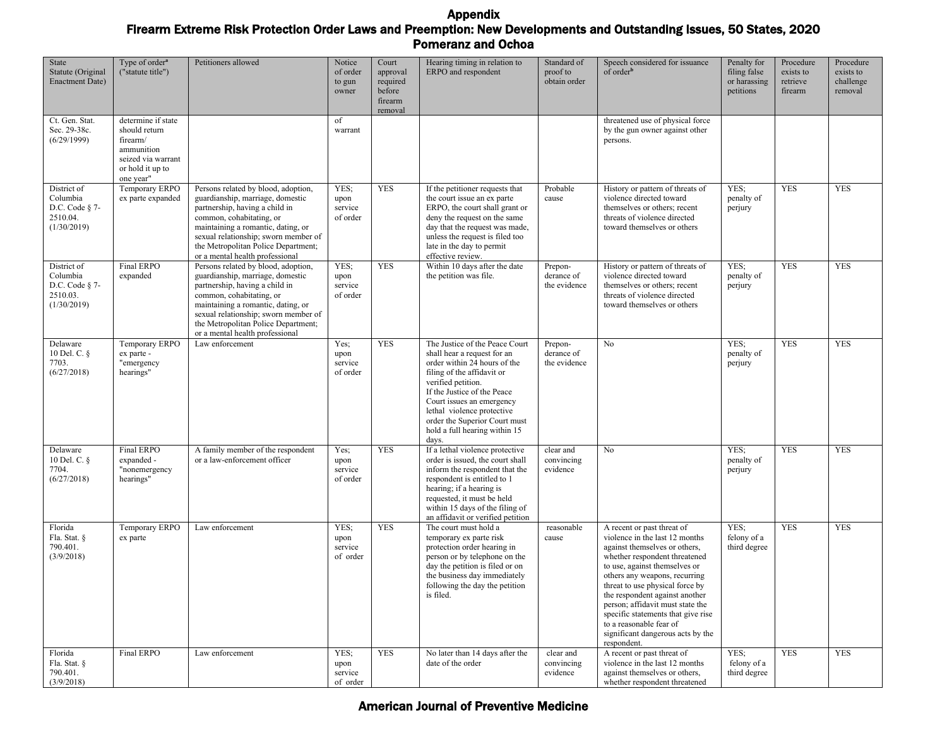| State<br>Statute (Original<br><b>Enactment Date)</b>                   | Type of order <sup>a</sup><br>("statute title")                                                                      | Petitioners allowed                                                                                                                                                                                                                                                                           | Notice<br>of order<br>to gun<br>owner | Court<br>approval<br>required<br>before<br>firearm<br>removal | Hearing timing in relation to<br>ERPO and respondent                                                                                                                                                                                                                                                                   | Standard of<br>proof to<br>obtain order | Speech considered for issuance<br>of order <sup>b</sup>                                                                                                                                                                                                                                                                                                                                                                        | Penalty for<br>filing false<br>or harassing<br>petitions | Procedure<br>exists to<br>retrieve<br>firearm | Procedure<br>exists to<br>challenge<br>removal |
|------------------------------------------------------------------------|----------------------------------------------------------------------------------------------------------------------|-----------------------------------------------------------------------------------------------------------------------------------------------------------------------------------------------------------------------------------------------------------------------------------------------|---------------------------------------|---------------------------------------------------------------|------------------------------------------------------------------------------------------------------------------------------------------------------------------------------------------------------------------------------------------------------------------------------------------------------------------------|-----------------------------------------|--------------------------------------------------------------------------------------------------------------------------------------------------------------------------------------------------------------------------------------------------------------------------------------------------------------------------------------------------------------------------------------------------------------------------------|----------------------------------------------------------|-----------------------------------------------|------------------------------------------------|
| Ct. Gen. Stat.<br>Sec. 29-38c.<br>(6/29/1999)                          | determine if state<br>should return<br>firearm/<br>ammunition<br>seized via warrant<br>or hold it up to<br>one year" |                                                                                                                                                                                                                                                                                               | of<br>warrant                         |                                                               |                                                                                                                                                                                                                                                                                                                        |                                         | threatened use of physical force<br>by the gun owner against other<br>persons.                                                                                                                                                                                                                                                                                                                                                 |                                                          |                                               |                                                |
| District of<br>Columbia<br>D.C. Code $§$ 7-<br>2510.04.<br>(1/30/2019) | Temporary ERPO<br>ex parte expanded                                                                                  | Persons related by blood, adoption,<br>guardianship, marriage, domestic<br>partnership, having a child in<br>common, cohabitating, or<br>maintaining a romantic, dating, or<br>sexual relationship; sworn member of<br>the Metropolitan Police Department;<br>or a mental health professional | YES;<br>upon<br>service<br>of order   | <b>YES</b>                                                    | If the petitioner requests that<br>the court issue an ex parte<br>ERPO, the court shall grant or<br>deny the request on the same<br>day that the request was made,<br>unless the request is filed too<br>late in the day to permit<br>effective review.                                                                | Probable<br>cause                       | History or pattern of threats of<br>violence directed toward<br>themselves or others; recent<br>threats of violence directed<br>toward themselves or others                                                                                                                                                                                                                                                                    | YES:<br>penalty of<br>perjury                            | <b>YES</b>                                    | <b>YES</b>                                     |
| District of<br>Columbia<br>D.C. Code § 7-<br>2510.03.<br>(1/30/2019)   | Final ERPO<br>expanded                                                                                               | Persons related by blood, adoption,<br>guardianship, marriage, domestic<br>partnership, having a child in<br>common, cohabitating, or<br>maintaining a romantic, dating, or<br>sexual relationship; sworn member of<br>the Metropolitan Police Department;<br>or a mental health professional | YES;<br>upon<br>service<br>of order   | <b>YES</b>                                                    | Within 10 days after the date<br>the petition was file.                                                                                                                                                                                                                                                                | Prepon-<br>derance of<br>the evidence   | History or pattern of threats of<br>violence directed toward<br>themselves or others; recent<br>threats of violence directed<br>toward themselves or others                                                                                                                                                                                                                                                                    | YES:<br>penalty of<br>perjury                            | <b>YES</b>                                    | <b>YES</b>                                     |
| Delaware<br>10 Del. C. §<br>7703.<br>(6/27/2018)                       | Temporary ERPO<br>ex parte -<br>"emergency<br>hearings"                                                              | Law enforcement                                                                                                                                                                                                                                                                               | Yes:<br>upon<br>service<br>of order   | <b>YES</b>                                                    | The Justice of the Peace Court<br>shall hear a request for an<br>order within 24 hours of the<br>filing of the affidavit or<br>verified petition.<br>If the Justice of the Peace<br>Court issues an emergency<br>lethal violence protective<br>order the Superior Court must<br>hold a full hearing within 15<br>days. | Prepon-<br>derance of<br>the evidence   | No                                                                                                                                                                                                                                                                                                                                                                                                                             | YES:<br>penalty of<br>perjury                            | <b>YES</b>                                    | <b>YES</b>                                     |
| Delaware<br>10 Del. C. §<br>7704.<br>(6/27/2018)                       | Final ERPO<br>expanded -<br>"nonemergency<br>hearings"                                                               | A family member of the respondent<br>or a law-enforcement officer                                                                                                                                                                                                                             | Yes:<br>upon<br>service<br>of order   | <b>YES</b>                                                    | If a lethal violence protective<br>order is issued, the court shall<br>inform the respondent that the<br>respondent is entitled to 1<br>hearing; if a hearing is<br>requested, it must be held<br>within 15 days of the filing of<br>an affidavit or verified petition                                                 | clear and<br>convincing<br>evidence     | No                                                                                                                                                                                                                                                                                                                                                                                                                             | YES:<br>penalty of<br>perjury                            | <b>YES</b>                                    | <b>YES</b>                                     |
| Florida<br>Fla. Stat. §<br>790.401.<br>(3/9/2018)                      | Temporary ERPO<br>ex parte                                                                                           | Law enforcement                                                                                                                                                                                                                                                                               | YES;<br>upon<br>service<br>of order   | <b>YES</b>                                                    | The court must hold a<br>temporary ex parte risk<br>protection order hearing in<br>person or by telephone on the<br>day the petition is filed or on<br>the business day immediately<br>following the day the petition<br>is filed.                                                                                     | reasonable<br>cause                     | A recent or past threat of<br>violence in the last 12 months<br>against themselves or others,<br>whether respondent threatened<br>to use, against themselves or<br>others any weapons, recurring<br>threat to use physical force by<br>the respondent against another<br>person; affidavit must state the<br>specific statements that give rise<br>to a reasonable fear of<br>significant dangerous acts by the<br>respondent. | YES;<br>felony of a<br>third degree                      | <b>YES</b>                                    | <b>YES</b>                                     |
| Florida<br>Fla. Stat. §<br>790.401.<br>(3/9/2018)                      | Final ERPO                                                                                                           | Law enforcement                                                                                                                                                                                                                                                                               | YES;<br>upon<br>service<br>of order   | <b>YES</b>                                                    | No later than 14 days after the<br>date of the order                                                                                                                                                                                                                                                                   | clear and<br>convincing<br>evidence     | A recent or past threat of<br>violence in the last 12 months<br>against themselves or others,<br>whether respondent threatened                                                                                                                                                                                                                                                                                                 | YES:<br>felony of a<br>third degree                      | <b>YES</b>                                    | <b>YES</b>                                     |

### American Journal of Preventive Medicine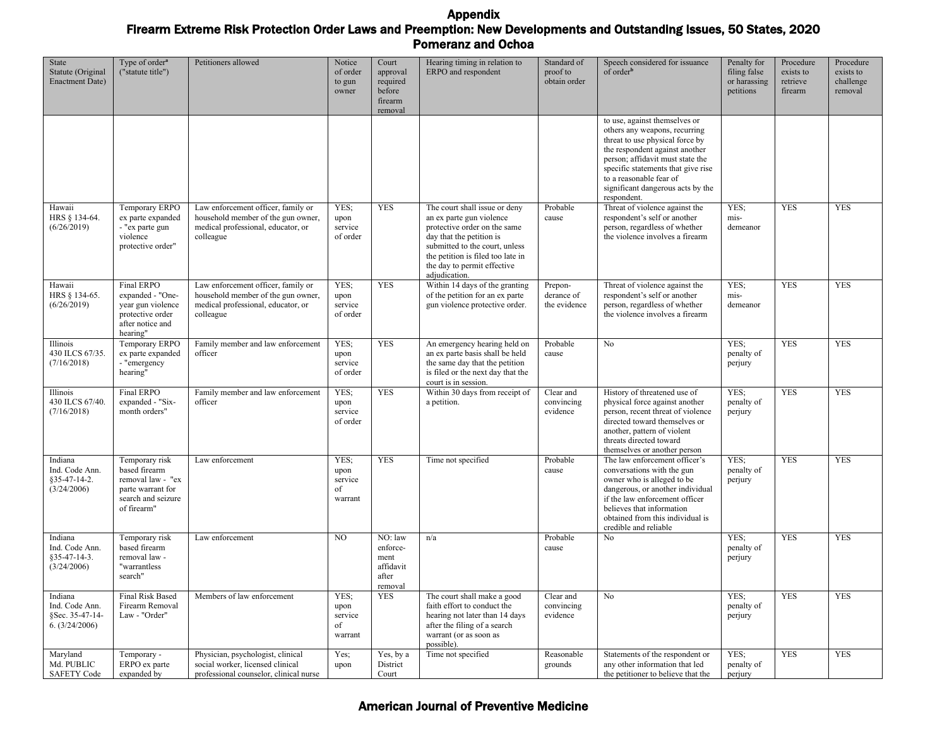| State<br>Statute (Original<br><b>Enactment Date)</b>           | Type of order <sup>a</sup><br>("statute title")                                                                | Petitioners allowed                                                                                                         | Notice<br>of order<br>to gun<br>owner    | Court<br>approval<br>required<br>before<br>firearm<br>removal | Hearing timing in relation to<br>ERPO and respondent                                                                                                                                                                                         | Standard of<br>proof to<br>obtain order | Speech considered for issuance<br>of order <sup>b</sup>                                                                                                                                                                                                                                      | Penalty for<br>filing false<br>or harassing<br>petitions | Procedure<br>exists to<br>retrieve<br>firearm | Procedure<br>exists to<br>challenge<br>removal |
|----------------------------------------------------------------|----------------------------------------------------------------------------------------------------------------|-----------------------------------------------------------------------------------------------------------------------------|------------------------------------------|---------------------------------------------------------------|----------------------------------------------------------------------------------------------------------------------------------------------------------------------------------------------------------------------------------------------|-----------------------------------------|----------------------------------------------------------------------------------------------------------------------------------------------------------------------------------------------------------------------------------------------------------------------------------------------|----------------------------------------------------------|-----------------------------------------------|------------------------------------------------|
|                                                                |                                                                                                                |                                                                                                                             |                                          |                                                               |                                                                                                                                                                                                                                              |                                         | to use, against themselves or<br>others any weapons, recurring<br>threat to use physical force by<br>the respondent against another<br>person; affidavit must state the<br>specific statements that give rise<br>to a reasonable fear of<br>significant dangerous acts by the<br>respondent. |                                                          |                                               |                                                |
| Hawaii<br>HRS § 134-64.<br>(6/26/2019)                         | Temporary ERPO<br>ex parte expanded<br>- "ex parte gun<br>violence<br>protective order"                        | Law enforcement officer, family or<br>household member of the gun owner,<br>medical professional, educator, or<br>colleague | YES;<br>upon<br>service<br>of order      | <b>YES</b>                                                    | The court shall issue or deny<br>an ex parte gun violence<br>protective order on the same<br>day that the petition is<br>submitted to the court, unless<br>the petition is filed too late in<br>the day to permit effective<br>adjudication. | Probable<br>cause                       | Threat of violence against the<br>respondent's self or another<br>person, regardless of whether<br>the violence involves a firearm                                                                                                                                                           | YES;<br>mis-<br>demeanor                                 | <b>YES</b>                                    | <b>YES</b>                                     |
| Hawaii<br>HRS § 134-65.<br>(6/26/2019)                         | Final ERPO<br>expanded - "One-<br>year gun violence<br>protective order<br>after notice and<br>hearing"        | Law enforcement officer, family or<br>household member of the gun owner,<br>medical professional, educator, or<br>colleague | YES:<br>upon<br>service<br>of order      | <b>YES</b>                                                    | Within 14 days of the granting<br>of the petition for an ex parte<br>gun violence protective order.                                                                                                                                          | Prepon-<br>derance of<br>the evidence   | Threat of violence against the<br>respondent's self or another<br>person, regardless of whether<br>the violence involves a firearm                                                                                                                                                           | YES:<br>mis-<br>demeanor                                 | <b>YES</b>                                    | <b>YES</b>                                     |
| Illinois<br>430 ILCS 67/35.<br>(7/16/2018)                     | Temporary ERPO<br>ex parte expanded<br>- "emergency<br>hearing"                                                | Family member and law enforcement<br>officer                                                                                | YES;<br>upon<br>service<br>of order      | <b>YES</b>                                                    | An emergency hearing held on<br>an ex parte basis shall be held<br>the same day that the petition<br>is filed or the next day that the<br>court is in session.                                                                               | Probable<br>cause                       | No                                                                                                                                                                                                                                                                                           | YES:<br>penalty of<br>perjury                            | <b>YES</b>                                    | <b>YES</b>                                     |
| Illinois<br>430 ILCS 67/40.<br>(7/16/2018)                     | Final ERPO<br>expanded - "Six-<br>month orders"                                                                | Family member and law enforcement<br>officer                                                                                | YES;<br>upon<br>service<br>of order      | <b>YES</b>                                                    | Within 30 days from receipt of<br>a petition.                                                                                                                                                                                                | Clear and<br>convincing<br>evidence     | History of threatened use of<br>physical force against another<br>person, recent threat of violence<br>directed toward themselves or<br>another, pattern of violent<br>threats directed toward<br>themselves or another person                                                               | YES:<br>penalty of<br>perjury                            | <b>YES</b>                                    | <b>YES</b>                                     |
| Indiana<br>Ind. Code Ann.<br>\$35-47-14-2.<br>(3/24/2006)      | Temporary risk<br>based firearm<br>removal law - "ex<br>parte warrant for<br>search and seizure<br>of firearm" | Law enforcement                                                                                                             | YES;<br>upon<br>service<br>of<br>warrant | <b>YES</b>                                                    | Time not specified                                                                                                                                                                                                                           | Probable<br>cause                       | The law enforcement officer's<br>conversations with the gun<br>owner who is alleged to be<br>dangerous, or another individual<br>if the law enforcement officer<br>believes that information<br>obtained from this individual is<br>credible and reliable                                    | YES:<br>penalty of<br>perjury                            | <b>YES</b>                                    | <b>YES</b>                                     |
| Indiana<br>Ind. Code Ann.<br>\$35-47-14-3.<br>(3/24/2006)      | Temporary risk<br>based firearm<br>removal law -<br>"warrantless<br>search"                                    | Law enforcement                                                                                                             | NO.                                      | NO: law<br>enforce-<br>ment<br>affidavit<br>after<br>removal  | n/a                                                                                                                                                                                                                                          | Probable<br>cause                       | No                                                                                                                                                                                                                                                                                           | YES:<br>penalty of<br>perjury                            | <b>YES</b>                                    | <b>YES</b>                                     |
| Indiana<br>Ind. Code Ann.<br>§Sec. 35-47-14-<br>6. (3/24/2006) | Final Risk Based<br>Firearm Removal<br>Law - "Order"                                                           | Members of law enforcement                                                                                                  | YES;<br>upon<br>service<br>of<br>warrant | <b>YES</b>                                                    | The court shall make a good<br>faith effort to conduct the<br>hearing not later than 14 days<br>after the filing of a search<br>warrant (or as soon as<br>possible).                                                                         | Clear and<br>convincing<br>evidence     | No                                                                                                                                                                                                                                                                                           | YES;<br>penalty of<br>perjury                            | <b>YES</b>                                    | <b>YES</b>                                     |
| Maryland<br>Md. PUBLIC<br><b>SAFETY Code</b>                   | Temporary -<br>ERPO ex parte<br>expanded by                                                                    | Physician, psychologist, clinical<br>social worker, licensed clinical<br>professional counselor, clinical nurse             | Yes;<br>upon                             | Yes, by a<br>District<br>Court                                | Time not specified                                                                                                                                                                                                                           | Reasonable<br>grounds                   | Statements of the respondent or<br>any other information that led<br>the petitioner to believe that the                                                                                                                                                                                      | YES:<br>penalty of<br>perjury                            | <b>YES</b>                                    | <b>YES</b>                                     |

# American Journal of Preventive Medicine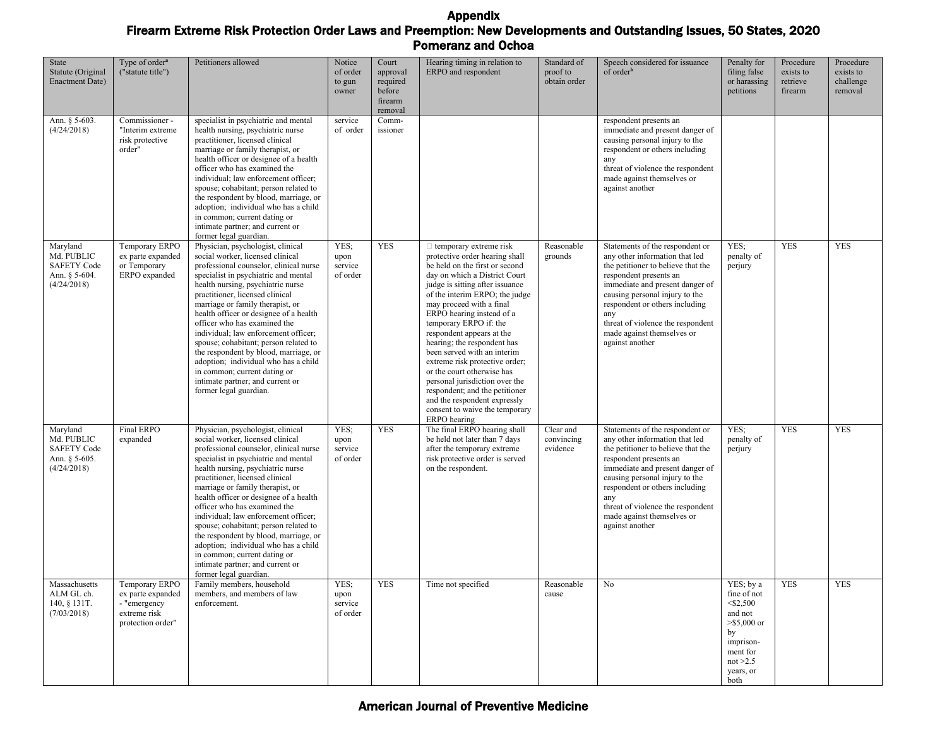| State<br>Statute (Original<br><b>Enactment Date)</b>                         | Type of order <sup>a</sup><br>("statute title")                                          | Petitioners allowed                                                                                                                                                                                                                                                                                                                                                                                                                                                                                                                                                                                           | Notice<br>of order<br>to gun<br>owner | Court<br>approval<br>required<br>before<br>firearm<br>removal | Hearing timing in relation to<br>ERPO and respondent                                                                                                                                                                                                                                                                                                                                                                                                                                                                                                                                                        | Standard of<br>proof to<br>obtain order | Speech considered for issuance<br>of order <sup>b</sup>                                                                                                                                                                                                                                                                               | Penalty for<br>filing false<br>or harassing<br>petitions                                                                               | Procedure<br>exists to<br>retrieve<br>firearm | Procedure<br>exists to<br>challenge<br>removal |
|------------------------------------------------------------------------------|------------------------------------------------------------------------------------------|---------------------------------------------------------------------------------------------------------------------------------------------------------------------------------------------------------------------------------------------------------------------------------------------------------------------------------------------------------------------------------------------------------------------------------------------------------------------------------------------------------------------------------------------------------------------------------------------------------------|---------------------------------------|---------------------------------------------------------------|-------------------------------------------------------------------------------------------------------------------------------------------------------------------------------------------------------------------------------------------------------------------------------------------------------------------------------------------------------------------------------------------------------------------------------------------------------------------------------------------------------------------------------------------------------------------------------------------------------------|-----------------------------------------|---------------------------------------------------------------------------------------------------------------------------------------------------------------------------------------------------------------------------------------------------------------------------------------------------------------------------------------|----------------------------------------------------------------------------------------------------------------------------------------|-----------------------------------------------|------------------------------------------------|
| Ann. § 5-603.<br>(4/24/2018)                                                 | Commissioner -<br>"Interim extreme<br>risk protective<br>order"                          | specialist in psychiatric and mental<br>health nursing, psychiatric nurse<br>practitioner, licensed clinical<br>marriage or family therapist, or<br>health officer or designee of a health<br>officer who has examined the<br>individual; law enforcement officer;<br>spouse; cohabitant; person related to<br>the respondent by blood, marriage, or<br>adoption; individual who has a child<br>in common; current dating or<br>intimate partner; and current or<br>former legal guardian.                                                                                                                    | service<br>of order                   | Comm-<br>issioner                                             |                                                                                                                                                                                                                                                                                                                                                                                                                                                                                                                                                                                                             |                                         | respondent presents an<br>immediate and present danger of<br>causing personal injury to the<br>respondent or others including<br>any<br>threat of violence the respondent<br>made against themselves or<br>against another                                                                                                            |                                                                                                                                        |                                               |                                                |
| Maryland<br>Md. PUBLIC<br><b>SAFETY Code</b><br>Ann. § 5-604.<br>(4/24/2018) | Temporary ERPO<br>ex parte expanded<br>or Temporary<br>ERPO expanded                     | Physician, psychologist, clinical<br>social worker, licensed clinical<br>professional counselor, clinical nurse<br>specialist in psychiatric and mental<br>health nursing, psychiatric nurse<br>practitioner, licensed clinical<br>marriage or family therapist, or<br>health officer or designee of a health<br>officer who has examined the<br>individual; law enforcement officer;<br>spouse; cohabitant; person related to<br>the respondent by blood, marriage, or<br>adoption; individual who has a child<br>in common; current dating or<br>intimate partner; and current or<br>former legal guardian. | YES;<br>upon<br>service<br>of order   | <b>YES</b>                                                    | $\Box$ temporary extreme risk<br>protective order hearing shall<br>be held on the first or second<br>day on which a District Court<br>judge is sitting after issuance<br>of the interim ERPO; the judge<br>may proceed with a final<br>ERPO hearing instead of a<br>temporary ERPO if: the<br>respondent appears at the<br>hearing; the respondent has<br>been served with an interim<br>extreme risk protective order;<br>or the court otherwise has<br>personal jurisdiction over the<br>respondent; and the petitioner<br>and the respondent expressly<br>consent to waive the temporary<br>ERPO hearing | Reasonable<br>grounds                   | Statements of the respondent or<br>any other information that led<br>the petitioner to believe that the<br>respondent presents an<br>immediate and present danger of<br>causing personal injury to the<br>respondent or others including<br>any<br>threat of violence the respondent<br>made against themselves or<br>against another | YES:<br>penalty of<br>perjury                                                                                                          | <b>YES</b>                                    | <b>YES</b>                                     |
| Maryland<br>Md. PUBLIC<br><b>SAFETY Code</b><br>Ann. § 5-605.<br>(4/24/2018) | Final ERPO<br>expanded                                                                   | Physician, psychologist, clinical<br>social worker, licensed clinical<br>professional counselor, clinical nurse<br>specialist in psychiatric and mental<br>health nursing, psychiatric nurse<br>practitioner, licensed clinical<br>marriage or family therapist, or<br>health officer or designee of a health<br>officer who has examined the<br>individual; law enforcement officer;<br>spouse; cohabitant; person related to<br>the respondent by blood, marriage, or<br>adoption; individual who has a child<br>in common; current dating or<br>intimate partner; and current or<br>former legal guardian. | YES:<br>upon<br>service<br>of order   | <b>YES</b>                                                    | The final ERPO hearing shall<br>be held not later than 7 days<br>after the temporary extreme<br>risk protective order is served<br>on the respondent.                                                                                                                                                                                                                                                                                                                                                                                                                                                       | Clear and<br>convincing<br>evidence     | Statements of the respondent or<br>any other information that led<br>the petitioner to believe that the<br>respondent presents an<br>immediate and present danger of<br>causing personal injury to the<br>respondent or others including<br>any<br>threat of violence the respondent<br>made against themselves or<br>against another | YES:<br>penalty of<br>perjury                                                                                                          | <b>YES</b>                                    | <b>YES</b>                                     |
| Massachusetts<br>ALM GL ch.<br>140, § 131T.<br>(7/03/2018)                   | Temporary ERPO<br>ex parte expanded<br>- "emergency<br>extreme risk<br>protection order" | Family members, household<br>members, and members of law<br>enforcement.                                                                                                                                                                                                                                                                                                                                                                                                                                                                                                                                      | YES;<br>upon<br>service<br>of order   | <b>YES</b>                                                    | Time not specified                                                                                                                                                                                                                                                                                                                                                                                                                                                                                                                                                                                          | Reasonable<br>cause                     | No                                                                                                                                                                                                                                                                                                                                    | YES; by a<br>fine of not<br>$<$ \$2,500<br>and not<br>$>$ \$5,000 or<br>by<br>imprison-<br>ment for<br>not $>2.5$<br>years, or<br>both | <b>YES</b>                                    | <b>YES</b>                                     |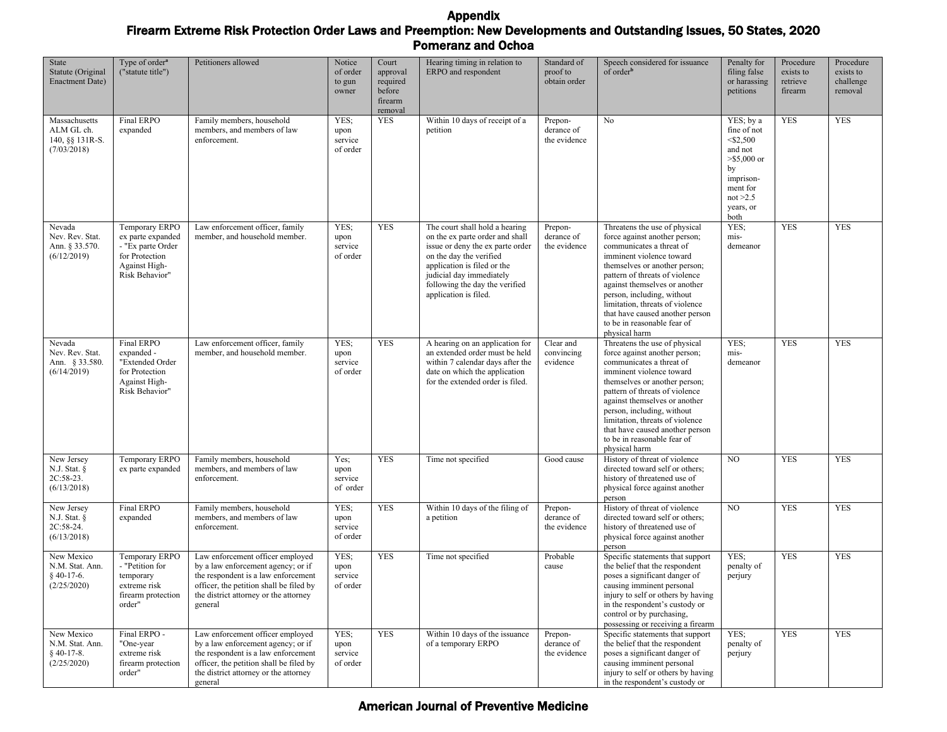| State<br>Statute (Original<br><b>Enactment Date)</b>          | Type of order <sup>a</sup><br>("statute title")                                                               | Petitioners allowed                                                                                                                                                                                          | Notice<br>of order<br>to gun<br>owner | Court<br>approval<br>required<br>before<br>firearm<br>removal | Hearing timing in relation to<br>ERPO and respondent                                                                                                                                                                                                   | Standard of<br>proof to<br>obtain order | Speech considered for issuance<br>of order <sup>b</sup>                                                                                                                                                                                                                                                                                                                        | Penalty for<br>filing false<br>or harassing<br>petitions                                                                              | Procedure<br>exists to<br>retrieve<br>firearm | Procedure<br>exists to<br>challenge<br>removal |
|---------------------------------------------------------------|---------------------------------------------------------------------------------------------------------------|--------------------------------------------------------------------------------------------------------------------------------------------------------------------------------------------------------------|---------------------------------------|---------------------------------------------------------------|--------------------------------------------------------------------------------------------------------------------------------------------------------------------------------------------------------------------------------------------------------|-----------------------------------------|--------------------------------------------------------------------------------------------------------------------------------------------------------------------------------------------------------------------------------------------------------------------------------------------------------------------------------------------------------------------------------|---------------------------------------------------------------------------------------------------------------------------------------|-----------------------------------------------|------------------------------------------------|
| Massachusetts<br>ALM GL ch.<br>140, §§ 131R-S.<br>(7/03/2018) | Final ERPO<br>expanded                                                                                        | Family members, household<br>members, and members of law<br>enforcement.                                                                                                                                     | YES:<br>upon<br>service<br>of order   | <b>YES</b>                                                    | Within 10 days of receipt of a<br>petition                                                                                                                                                                                                             | Prepon-<br>derance of<br>the evidence   | No                                                                                                                                                                                                                                                                                                                                                                             | YES; by a<br>fine of not<br>$<$ \$2,500<br>and not<br>$> $5,000$ or<br>by<br>imprison-<br>ment for<br>not $>2.5$<br>years, or<br>both | <b>YES</b>                                    | <b>YES</b>                                     |
| Nevada<br>Nev. Rev. Stat.<br>Ann. § 33.570.<br>(6/12/2019)    | Temporary ERPO<br>ex parte expanded<br>- "Ex parte Order<br>for Protection<br>Against High-<br>Risk Behavior" | Law enforcement officer, family<br>member, and household member.                                                                                                                                             | YES;<br>upon<br>service<br>of order   | <b>YES</b>                                                    | The court shall hold a hearing<br>on the ex parte order and shall<br>issue or deny the ex parte order<br>on the day the verified<br>application is filed or the<br>judicial day immediately<br>following the day the verified<br>application is filed. | Prepon-<br>derance of<br>the evidence   | Threatens the use of physical<br>force against another person;<br>communicates a threat of<br>imminent violence toward<br>themselves or another person;<br>pattern of threats of violence<br>against themselves or another<br>person, including, without<br>limitation, threats of violence<br>that have caused another person<br>to be in reasonable fear of<br>physical harm | YES:<br>mis-<br>demeanor                                                                                                              | <b>YES</b>                                    | <b>YES</b>                                     |
| Nevada<br>Nev. Rev. Stat.<br>Ann. § 33.580.<br>(6/14/2019)    | <b>Final ERPO</b><br>expanded -<br>"Extended Order<br>for Protection<br>Against High-<br>Risk Behavior"       | Law enforcement officer, family<br>member, and household member.                                                                                                                                             | YES:<br>upon<br>service<br>of order   | <b>YES</b>                                                    | A hearing on an application for<br>an extended order must be held<br>within 7 calendar days after the<br>date on which the application<br>for the extended order is filed.                                                                             | Clear and<br>convincing<br>evidence     | Threatens the use of physical<br>force against another person;<br>communicates a threat of<br>imminent violence toward<br>themselves or another person;<br>pattern of threats of violence<br>against themselves or another<br>person, including, without<br>limitation, threats of violence<br>that have caused another person<br>to be in reasonable fear of<br>physical harm | YES:<br>mis-<br>demeanor                                                                                                              | <b>YES</b>                                    | <b>YES</b>                                     |
| New Jersey<br>N.J. Stat. $\S$<br>2C:58-23.<br>(6/13/2018)     | Temporary ERPO<br>ex parte expanded                                                                           | Family members, household<br>members, and members of law<br>enforcement.                                                                                                                                     | Yes;<br>upon<br>service<br>of order   | <b>YES</b>                                                    | Time not specified                                                                                                                                                                                                                                     | Good cause                              | History of threat of violence<br>directed toward self or others;<br>history of threatened use of<br>physical force against another<br>person                                                                                                                                                                                                                                   | NO                                                                                                                                    | <b>YES</b>                                    | <b>YES</b>                                     |
| New Jersey<br>N.J. Stat. $\S$<br>2C:58-24.<br>(6/13/2018)     | Final ERPO<br>expanded                                                                                        | Family members, household<br>members, and members of law<br>enforcement.                                                                                                                                     | YES:<br>upon<br>service<br>of order   | <b>YES</b>                                                    | Within 10 days of the filing of<br>a petition                                                                                                                                                                                                          | Prepon-<br>derance of<br>the evidence   | History of threat of violence<br>directed toward self or others;<br>history of threatened use of<br>physical force against another<br>person                                                                                                                                                                                                                                   | NO                                                                                                                                    | <b>YES</b>                                    | <b>YES</b>                                     |
| New Mexico<br>N.M. Stat. Ann.<br>$§$ 40-17-6.<br>(2/25/2020)  | Temporary ERPO<br>- "Petition for<br>temporary<br>extreme risk<br>firearm protection<br>order"                | Law enforcement officer employed<br>by a law enforcement agency; or if<br>the respondent is a law enforcement<br>officer, the petition shall be filed by<br>the district attorney or the attorney<br>general | YES;<br>upon<br>service<br>of order   | <b>YES</b>                                                    | Time not specified                                                                                                                                                                                                                                     | Probable<br>cause                       | Specific statements that support<br>the belief that the respondent<br>poses a significant danger of<br>causing imminent personal<br>injury to self or others by having<br>in the respondent's custody or<br>control or by purchasing,<br>possessing or receiving a firearm                                                                                                     | YES:<br>penalty of<br>perjury                                                                                                         | <b>YES</b>                                    | <b>YES</b>                                     |
| New Mexico<br>N.M. Stat. Ann.<br>$§$ 40-17-8.<br>(2/25/2020)  | Final ERPO -<br>"One-year<br>extreme risk<br>firearm protection<br>order"                                     | Law enforcement officer employed<br>by a law enforcement agency; or if<br>the respondent is a law enforcement<br>officer, the petition shall be filed by<br>the district attorney or the attorney<br>general | YES;<br>upon<br>service<br>of order   | <b>YES</b>                                                    | Within 10 days of the issuance<br>of a temporary ERPO                                                                                                                                                                                                  | Prepon-<br>derance of<br>the evidence   | Specific statements that support<br>the belief that the respondent<br>poses a significant danger of<br>causing imminent personal<br>injury to self or others by having<br>in the respondent's custody or                                                                                                                                                                       | YES:<br>penalty of<br>perjury                                                                                                         | <b>YES</b>                                    | <b>YES</b>                                     |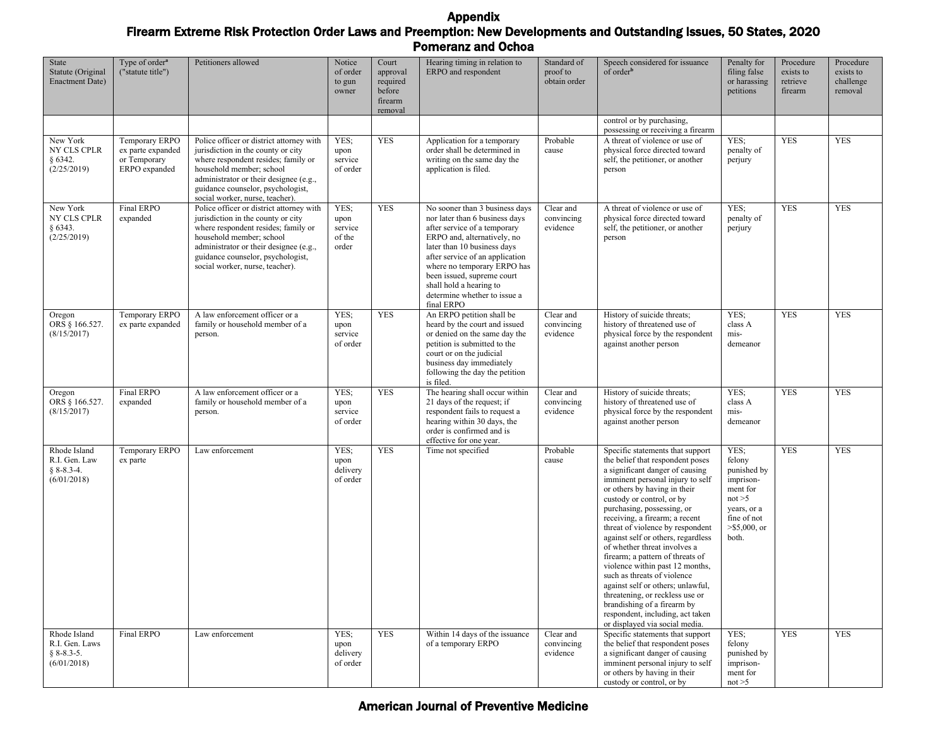| State<br>Statute (Original<br><b>Enactment Date)</b>          | Type of order <sup>a</sup><br>("statute title")                      | Petitioners allowed                                                                                                                                                                                                                                                 | Notice<br>of order<br>to gun<br>owner      | Court<br>approval<br>required<br>before<br>firearm<br>removal | Hearing timing in relation to<br>ERPO and respondent                                                                                                                                                                                                                                                                                    | Standard of<br>proof to<br>obtain order | Speech considered for issuance<br>of order <sup>b</sup>                                                                                                                                                                                                                                                                                                                                                                                                                                                                                                                                                                                                               | Penalty for<br>filing false<br>or harassing<br>petitions                                                                    | Procedure<br>exists to<br>retrieve<br>firearm | Procedure<br>exists to<br>challenge<br>removal |
|---------------------------------------------------------------|----------------------------------------------------------------------|---------------------------------------------------------------------------------------------------------------------------------------------------------------------------------------------------------------------------------------------------------------------|--------------------------------------------|---------------------------------------------------------------|-----------------------------------------------------------------------------------------------------------------------------------------------------------------------------------------------------------------------------------------------------------------------------------------------------------------------------------------|-----------------------------------------|-----------------------------------------------------------------------------------------------------------------------------------------------------------------------------------------------------------------------------------------------------------------------------------------------------------------------------------------------------------------------------------------------------------------------------------------------------------------------------------------------------------------------------------------------------------------------------------------------------------------------------------------------------------------------|-----------------------------------------------------------------------------------------------------------------------------|-----------------------------------------------|------------------------------------------------|
|                                                               |                                                                      |                                                                                                                                                                                                                                                                     |                                            |                                                               |                                                                                                                                                                                                                                                                                                                                         |                                         | control or by purchasing,<br>possessing or receiving a firearm                                                                                                                                                                                                                                                                                                                                                                                                                                                                                                                                                                                                        |                                                                                                                             |                                               |                                                |
| New York<br>NY CLS CPLR<br>§ 6342.<br>(2/25/2019)             | Temporary ERPO<br>ex parte expanded<br>or Temporary<br>ERPO expanded | Police officer or district attorney with<br>jurisdiction in the county or city<br>where respondent resides; family or<br>household member; school<br>administrator or their designee (e.g.,<br>guidance counselor, psychologist,<br>social worker, nurse, teacher). | YES;<br>upon<br>service<br>of order        | <b>YES</b>                                                    | Application for a temporary<br>order shall be determined in<br>writing on the same day the<br>application is filed.                                                                                                                                                                                                                     | Probable<br>cause                       | A threat of violence or use of<br>physical force directed toward<br>self, the petitioner, or another<br>person                                                                                                                                                                                                                                                                                                                                                                                                                                                                                                                                                        | YES:<br>penalty of<br>perjury                                                                                               | <b>YES</b>                                    | <b>YES</b>                                     |
| New York<br>NY CLS CPLR<br>§ 6343.<br>(2/25/2019)             | <b>Final ERPO</b><br>expanded                                        | Police officer or district attorney with<br>jurisdiction in the county or city<br>where respondent resides; family or<br>household member; school<br>administrator or their designee (e.g.,<br>guidance counselor, psychologist,<br>social worker, nurse, teacher). | YES;<br>upon<br>service<br>of the<br>order | <b>YES</b>                                                    | No sooner than 3 business days<br>nor later than 6 business days<br>after service of a temporary<br>ERPO and, alternatively, no<br>later than 10 business days<br>after service of an application<br>where no temporary ERPO has<br>been issued, supreme court<br>shall hold a hearing to<br>determine whether to issue a<br>final ERPO | Clear and<br>convincing<br>evidence     | A threat of violence or use of<br>physical force directed toward<br>self, the petitioner, or another<br>person                                                                                                                                                                                                                                                                                                                                                                                                                                                                                                                                                        | YES:<br>penalty of<br>perjury                                                                                               | <b>YES</b>                                    | <b>YES</b>                                     |
| Oregon<br>ORS § 166.527.<br>(8/15/2017)                       | Temporary ERPO<br>ex parte expanded                                  | A law enforcement officer or a<br>family or household member of a<br>person.                                                                                                                                                                                        | YES:<br>upon<br>service<br>of order        | <b>YES</b>                                                    | An ERPO petition shall be<br>heard by the court and issued<br>or denied on the same day the<br>petition is submitted to the<br>court or on the judicial<br>business day immediately<br>following the day the petition<br>is filed.                                                                                                      | Clear and<br>convincing<br>evidence     | History of suicide threats;<br>history of threatened use of<br>physical force by the respondent<br>against another person                                                                                                                                                                                                                                                                                                                                                                                                                                                                                                                                             | YES;<br>class A<br>mis-<br>demeanor                                                                                         | <b>YES</b>                                    | <b>YES</b>                                     |
| Oregon<br>ORS § 166.527.<br>(8/15/2017)                       | Final ERPO<br>expanded                                               | A law enforcement officer or a<br>family or household member of a<br>person.                                                                                                                                                                                        | YES;<br>upon<br>service<br>of order        | <b>YES</b>                                                    | The hearing shall occur within<br>21 days of the request; if<br>respondent fails to request a<br>hearing within 30 days, the<br>order is confirmed and is<br>effective for one year.                                                                                                                                                    | Clear and<br>convincing<br>evidence     | History of suicide threats;<br>history of threatened use of<br>physical force by the respondent<br>against another person                                                                                                                                                                                                                                                                                                                                                                                                                                                                                                                                             | YES:<br>class A<br>mis-<br>demeanor                                                                                         | <b>YES</b>                                    | <b>YES</b>                                     |
| Rhode Island<br>R.I. Gen. Law<br>$§ 8-8.3-4.$<br>(6/01/2018)  | Temporary ERPO<br>ex parte                                           | Law enforcement                                                                                                                                                                                                                                                     | YES:<br>upon<br>delivery<br>of order       | <b>YES</b>                                                    | Time not specified                                                                                                                                                                                                                                                                                                                      | Probable<br>cause                       | Specific statements that support<br>the belief that respondent poses<br>a significant danger of causing<br>imminent personal injury to self<br>or others by having in their<br>custody or control, or by<br>purchasing, possessing, or<br>receiving, a firearm; a recent<br>threat of violence by respondent<br>against self or others, regardless<br>of whether threat involves a<br>firearm; a pattern of threats of<br>violence within past 12 months,<br>such as threats of violence<br>against self or others; unlawful,<br>threatening, or reckless use or<br>brandishing of a firearm by<br>respondent, including, act taken<br>or displayed via social media. | YES;<br>felony<br>punished by<br>imprison-<br>ment for<br>not > 5<br>years, or a<br>fine of not<br>$>$ \$5,000, or<br>both. | <b>YES</b>                                    | <b>YES</b>                                     |
| Rhode Island<br>R.I. Gen. Laws<br>$§ 8-8.3-5.$<br>(6/01/2018) | Final ERPO                                                           | Law enforcement                                                                                                                                                                                                                                                     | YES:<br>upon<br>delivery<br>of order       | <b>YES</b>                                                    | Within 14 days of the issuance<br>of a temporary ERPO                                                                                                                                                                                                                                                                                   | Clear and<br>convincing<br>evidence     | Specific statements that support<br>the belief that respondent poses<br>a significant danger of causing<br>imminent personal injury to self<br>or others by having in their<br>custody or control, or by                                                                                                                                                                                                                                                                                                                                                                                                                                                              | YES;<br>felony<br>punished by<br>imprison-<br>ment for<br>not > 5                                                           | <b>YES</b>                                    | <b>YES</b>                                     |

# American Journal of Preventive Medicine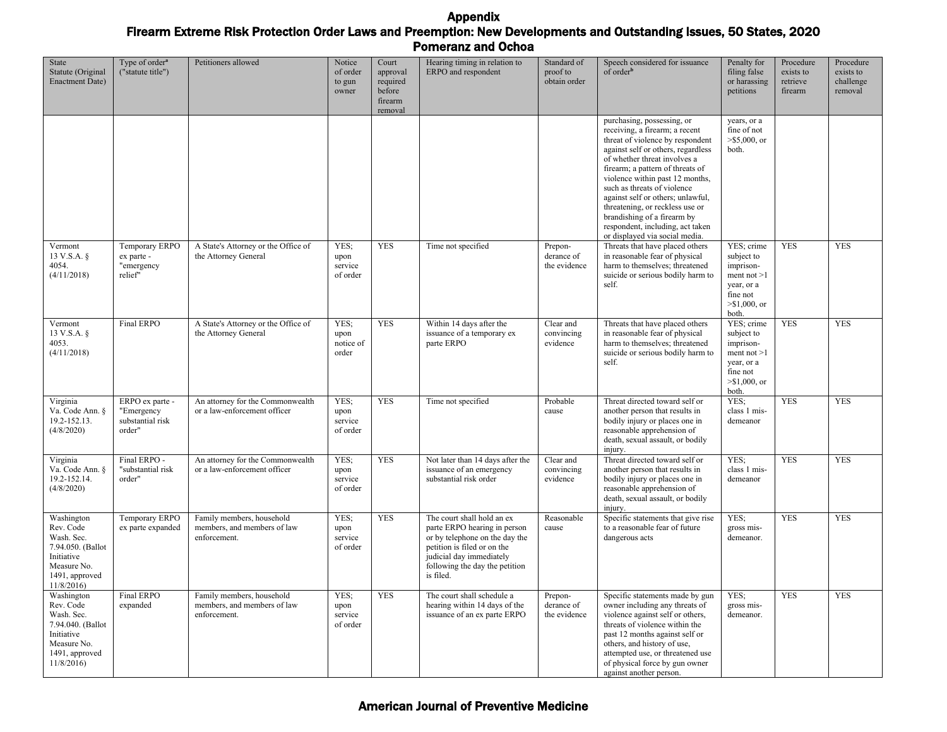| State<br>Statute (Original<br><b>Enactment Date)</b>                                                                   | Type of order <sup>a</sup><br>("statute title")             | Petitioners allowed                                                      | Notice<br>of order<br>to gun<br>owner | Court<br>approval<br>required<br>before<br>firearm<br>removal | Hearing timing in relation to<br>ERPO and respondent                                                                                                                                                   | Standard of<br>proof to<br>obtain order | Speech considered for issuance<br>of order <sup>b</sup>                                                                                                                                                                                                                                                                                                                                                                                                   | Penalty for<br>filing false<br>or harassing<br>petitions                                                     | Procedure<br>exists to<br>retrieve<br>firearm | Procedure<br>exists to<br>challenge<br>removal |
|------------------------------------------------------------------------------------------------------------------------|-------------------------------------------------------------|--------------------------------------------------------------------------|---------------------------------------|---------------------------------------------------------------|--------------------------------------------------------------------------------------------------------------------------------------------------------------------------------------------------------|-----------------------------------------|-----------------------------------------------------------------------------------------------------------------------------------------------------------------------------------------------------------------------------------------------------------------------------------------------------------------------------------------------------------------------------------------------------------------------------------------------------------|--------------------------------------------------------------------------------------------------------------|-----------------------------------------------|------------------------------------------------|
|                                                                                                                        |                                                             |                                                                          |                                       |                                                               |                                                                                                                                                                                                        |                                         | purchasing, possessing, or<br>receiving, a firearm; a recent<br>threat of violence by respondent<br>against self or others, regardless<br>of whether threat involves a<br>firearm; a pattern of threats of<br>violence within past 12 months,<br>such as threats of violence<br>against self or others; unlawful,<br>threatening, or reckless use or<br>brandishing of a firearm by<br>respondent, including, act taken<br>or displayed via social media. | years, or a<br>fine of not<br>$> $5,000$ , or<br>both.                                                       |                                               |                                                |
| Vermont<br>13 V.S.A. §<br>4054.<br>(4/11/2018)                                                                         | Temporary ERPO<br>ex parte -<br>"emergency<br>relief"       | A State's Attorney or the Office of<br>the Attorney General              | YES;<br>upon<br>service<br>of order   | <b>YES</b>                                                    | Time not specified                                                                                                                                                                                     | Prepon-<br>derance of<br>the evidence   | Threats that have placed others<br>in reasonable fear of physical<br>harm to themselves; threatened<br>suicide or serious bodily harm to<br>self.                                                                                                                                                                                                                                                                                                         | YES; crime<br>subject to<br>imprison-<br>ment not $>1$<br>year, or a<br>fine not<br>$> $1,000$ , or<br>both. | <b>YES</b>                                    | <b>YES</b>                                     |
| Vermont<br>13 V.S.A. $\S$<br>4053.<br>(4/11/2018)                                                                      | Final ERPO                                                  | A State's Attorney or the Office of<br>the Attorney General              | YES;<br>upon<br>notice of<br>order    | <b>YES</b>                                                    | Within 14 days after the<br>issuance of a temporary ex<br>parte ERPO                                                                                                                                   | Clear and<br>convincing<br>evidence     | Threats that have placed others<br>in reasonable fear of physical<br>harm to themselves; threatened<br>suicide or serious bodily harm to<br>self.                                                                                                                                                                                                                                                                                                         | YES; crime<br>subject to<br>imprison-<br>ment not $>1$<br>year, or a<br>fine not<br>$> $1,000$ , or<br>both. | <b>YES</b>                                    | <b>YES</b>                                     |
| Virginia<br>Va. Code Ann. §<br>19.2-152.13.<br>(4/8/2020)                                                              | ERPO ex parte -<br>"Emergency<br>substantial risk<br>order" | An attorney for the Commonwealth<br>or a law-enforcement officer         | YES:<br>upon<br>service<br>of order   | <b>YES</b>                                                    | Time not specified                                                                                                                                                                                     | Probable<br>cause                       | Threat directed toward self or<br>another person that results in<br>bodily injury or places one in<br>reasonable apprehension of<br>death, sexual assault, or bodily<br>injury.                                                                                                                                                                                                                                                                           | YES:<br>class 1 mis-<br>demeanor                                                                             | <b>YES</b>                                    | <b>YES</b>                                     |
| Virginia<br>Va. Code Ann. §<br>19.2-152.14.<br>(4/8/2020)                                                              | Final ERPO -<br>"substantial risk<br>order"                 | An attorney for the Commonwealth<br>or a law-enforcement officer         | YES:<br>upon<br>service<br>of order   | <b>YES</b>                                                    | Not later than 14 days after the<br>issuance of an emergency<br>substantial risk order                                                                                                                 | Clear and<br>convincing<br>evidence     | Threat directed toward self or<br>another person that results in<br>bodily injury or places one in<br>reasonable apprehension of<br>death, sexual assault, or bodily<br>injury.                                                                                                                                                                                                                                                                           | YES:<br>class 1 mis-<br>demeanor                                                                             | <b>YES</b>                                    | <b>YES</b>                                     |
| Washington<br>Rev. Code<br>Wash. Sec.<br>7.94.050. (Ballot<br>Initiative<br>Measure No.<br>1491, approved<br>11/8/2016 | Temporary ERPO<br>ex parte expanded                         | Family members, household<br>members, and members of law<br>enforcement. | YES;<br>upon<br>service<br>of order   | <b>YES</b>                                                    | The court shall hold an ex<br>parte ERPO hearing in person<br>or by telephone on the day the<br>petition is filed or on the<br>judicial day immediately<br>following the day the petition<br>is filed. | Reasonable<br>cause                     | Specific statements that give rise<br>to a reasonable fear of future<br>dangerous acts                                                                                                                                                                                                                                                                                                                                                                    | YES:<br>gross mis-<br>demeanor.                                                                              | <b>YES</b>                                    | <b>YES</b>                                     |
| Washington<br>Rev. Code<br>Wash. Sec.<br>7.94.040. (Ballot<br>Initiative<br>Measure No.<br>1491, approved<br>11/8/2016 | <b>Final ERPO</b><br>expanded                               | Family members, household<br>members, and members of law<br>enforcement. | YES;<br>upon<br>service<br>of order   | <b>YES</b>                                                    | The court shall schedule a<br>hearing within 14 days of the<br>issuance of an ex parte ERPO                                                                                                            | Prepon-<br>derance of<br>the evidence   | Specific statements made by gun<br>owner including any threats of<br>violence against self or others,<br>threats of violence within the<br>past 12 months against self or<br>others, and history of use,<br>attempted use, or threatened use<br>of physical force by gun owner<br>against another person.                                                                                                                                                 | YES:<br>gross mis-<br>demeanor.                                                                              | <b>YES</b>                                    | <b>YES</b>                                     |